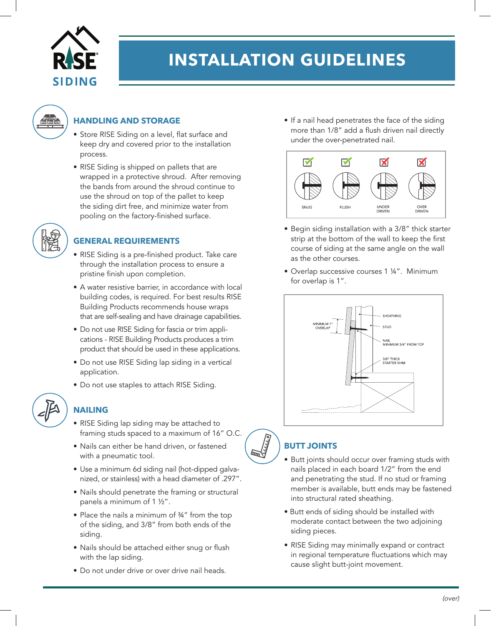

# **INSTALLATION GUIDELINES**



#### **HANDLING AND STORAGE**

- Store RISE Siding on a level, flat surface and keep dry and covered prior to the installation process.
- RISE Siding is shipped on pallets that are wrapped in a protective shroud. After removing the bands from around the shroud continue to use the shroud on top of the pallet to keep the siding dirt free, and minimize water from pooling on the factory-finished surface.



### **GENERAL REQUIREMENTS**

- RISE Siding is a pre-finished product. Take care through the installation process to ensure a pristine finish upon completion.
- A water resistive barrier, in accordance with local building codes, is required. For best results RISE Building Products recommends house wraps that are self-sealing and have drainage capabilities.
- Do not use RISE Siding for fascia or trim applications - RISE Building Products produces a trim product that should be used in these applications.
- Do not use RISE Siding lap siding in a vertical application.
- Do not use staples to attach RISE Siding.



## **NAILING**

- RISE Siding lap siding may be attached to framing studs spaced to a maximum of 16" O.C.
- Nails can either be hand driven, or fastened with a pneumatic tool.
- Use a minimum 6d siding nail (hot-dipped galvanized, or stainless) with a head diameter of .297".
- Nails should penetrate the framing or structural panels a minimum of 1 ½".
- Place the nails a minimum of 34" from the top of the siding, and 3/8" from both ends of the siding.
- Nails should be attached either snug or flush with the lap siding.
- Do not under drive or over drive nail heads.

• If a nail head penetrates the face of the siding more than 1/8" add a flush driven nail directly under the over-penetrated nail.



- Begin siding installation with a 3/8" thick starter strip at the bottom of the wall to keep the first course of siding at the same angle on the wall as the other courses.
- Overlap successive courses 1 ¼". Minimum for overlap is 1".



## **BUTT JOINTS**

- Butt joints should occur over framing studs with nails placed in each board 1/2" from the end and penetrating the stud. If no stud or framing member is available, butt ends may be fastened into structural rated sheathing.
- Butt ends of siding should be installed with moderate contact between the two adjoining siding pieces.
- RISE Siding may minimally expand or contract in regional temperature fluctuations which may cause slight butt-joint movement.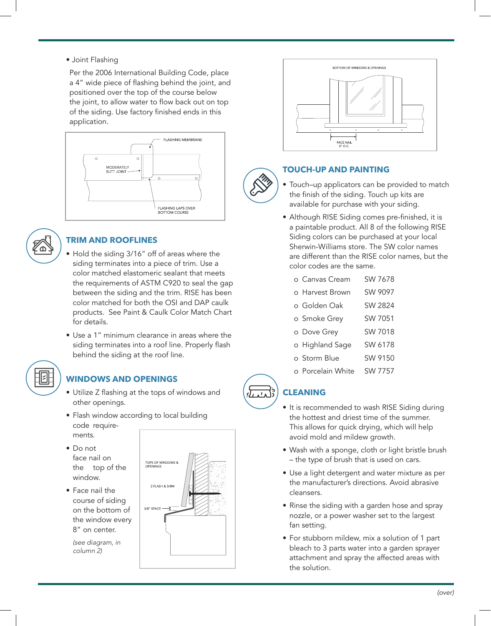• Joint Flashing

Per the 2006 International Building Code, place a 4" wide piece of flashing behind the joint, and positioned over the top of the course below the joint, to allow water to flow back out on top of the siding. Use factory finished ends in this application.





### **TRIM AND ROOFLINES**

- Hold the siding 3/16" off of areas where the siding terminates into a piece of trim. Use a color matched elastomeric sealant that meets the requirements of ASTM C920 to seal the gap between the siding and the trim. RISE has been color matched for both the OSI and DAP caulk products. See Paint & Caulk Color Match Chart for details.
- Use a 1" minimum clearance in areas where the siding terminates into a roof line. Properly flash behind the siding at the roof line.



## **WINDOWS AND OPENINGS**

- Utilize Z flashing at the tops of windows and other openings.
- Flash window according to local building code requirements.
- Do not face nail on the top of the window.
- Face nail the course of siding on the bottom of the window every 8" on center.

*(see diagram, in column 2)*





#### **TOUCH-UP AND PAINTING**

- Touch–up applicators can be provided to match the finish of the siding. Touch up kits are available for purchase with your siding.
- Although RISE Siding comes pre-finished, it is a paintable product. All 8 of the following RISE Siding colors can be purchased at your local Sherwin-Williams store. The SW color names are different than the RISE color names, but the color codes are the same.
	- o Canvas Cream SW 7678
	- o Harvest Brown SW 9097
	- o Golden Oak SW 2824
	- o Smoke Grey SW 7051
	- o Dove Grey SW 7018
	- o Highland Sage SW 6178
	- o Storm Blue SW 9150
	- o Porcelain White SW 7757

### **CLEANING**

- It is recommended to wash RISE Siding during the hottest and driest time of the summer. This allows for quick drying, which will help avoid mold and mildew growth.
- Wash with a sponge, cloth or light bristle brush – the type of brush that is used on cars.
- Use a light detergent and water mixture as per the manufacturer's directions. Avoid abrasive cleansers.
- Rinse the siding with a garden hose and spray nozzle, or a power washer set to the largest fan setting.
- For stubborn mildew, mix a solution of 1 part bleach to 3 parts water into a garden sprayer attachment and spray the affected areas with the solution.